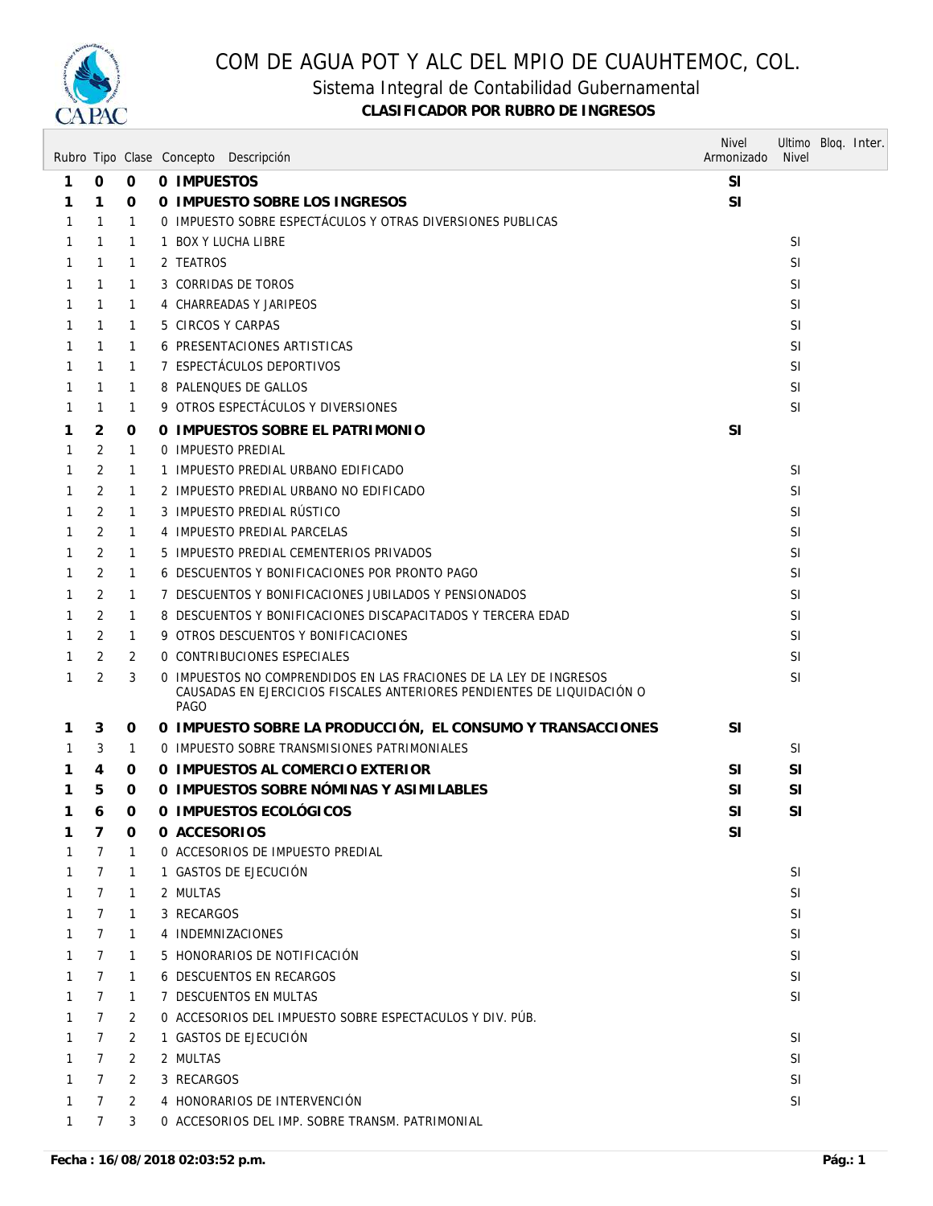

### Sistema Integral de Contabilidad Gubernamental

|   |                 |                | Rubro Tipo Clase Concepto Descripción                                                                                                                | <b>Nivel</b><br>Armonizado | Ultimo Bloq. Inter.<br><b>Nivel</b> |  |
|---|-----------------|----------------|------------------------------------------------------------------------------------------------------------------------------------------------------|----------------------------|-------------------------------------|--|
| 1 | 0               | $\mathbf 0$    | 0 IMPUESTOS                                                                                                                                          | <b>SI</b>                  |                                     |  |
| 1 | 1               | 0              | 0 IMPUESTO SOBRE LOS INGRESOS                                                                                                                        | SI                         |                                     |  |
| 1 | $\mathbf{1}$    | 1              | 0 IMPUESTO SOBRE ESPECTÁCULOS Y OTRAS DIVERSIONES PUBLICAS                                                                                           |                            |                                     |  |
| 1 | $\mathbf{1}$    | 1              | 1 BOX Y LUCHA LIBRE                                                                                                                                  |                            | <b>SI</b>                           |  |
| 1 | 1               | 1              | 2 TEATROS                                                                                                                                            |                            | <b>SI</b>                           |  |
| 1 | 1               | 1              | 3 CORRIDAS DE TOROS                                                                                                                                  |                            | SI                                  |  |
| 1 | 1               | 1              | 4 CHARREADAS Y JARIPEOS                                                                                                                              |                            | SI                                  |  |
| 1 | 1               | 1              | 5 CIRCOS Y CARPAS                                                                                                                                    |                            | <b>SI</b>                           |  |
| 1 | 1               | 1              | 6 PRESENTACIONES ARTISTICAS                                                                                                                          |                            | <b>SI</b>                           |  |
| 1 | 1               | $\mathbf{1}$   | 7 ESPECTÁCULOS DEPORTIVOS                                                                                                                            |                            | <b>SI</b>                           |  |
| 1 | 1               | 1              | 8 PALENQUES DE GALLOS                                                                                                                                |                            | SI                                  |  |
| 1 | 1               | 1              | 9 OTROS ESPECTÁCULOS Y DIVERSIONES                                                                                                                   |                            | SI                                  |  |
| 1 | 2               | 0              | O IMPUESTOS SOBRE EL PATRIMONIO                                                                                                                      | <b>SI</b>                  |                                     |  |
| 1 | 2               | 1              | 0 IMPUESTO PREDIAL                                                                                                                                   |                            |                                     |  |
| 1 | 2               | 1              | 1 IMPUESTO PREDIAL URBANO EDIFICADO                                                                                                                  |                            | <b>SI</b>                           |  |
| 1 | 2               | 1              | 2 IMPUESTO PREDIAL URBANO NO EDIFICADO                                                                                                               |                            | <b>SI</b>                           |  |
| 1 | 2               | 1              | 3 IMPUESTO PREDIAL RÚSTICO                                                                                                                           |                            | <b>SI</b>                           |  |
| 1 | 2               | 1              | 4 IMPUESTO PREDIAL PARCELAS                                                                                                                          |                            | <b>SI</b>                           |  |
| 1 | 2               | 1              | 5 IMPUESTO PREDIAL CEMENTERIOS PRIVADOS                                                                                                              |                            | <b>SI</b>                           |  |
| 1 | 2               | 1              | 6 DESCUENTOS Y BONIFICACIONES POR PRONTO PAGO                                                                                                        |                            | <b>SI</b>                           |  |
| 1 | 2               | 1              | 7 DESCUENTOS Y BONIFICACIONES JUBILADOS Y PENSIONADOS                                                                                                |                            | <b>SI</b>                           |  |
| 1 | 2               | $\mathbf{1}$   | 8 DESCUENTOS Y BONIFICACIONES DISCAPACITADOS Y TERCERA EDAD                                                                                          |                            | SI                                  |  |
| 1 | 2               | $\mathbf{1}$   | 9 OTROS DESCUENTOS Y BONIFICACIONES                                                                                                                  |                            | <b>SI</b>                           |  |
| 1 | 2               | 2              | 0 CONTRIBUCIONES ESPECIALES                                                                                                                          |                            | <b>SI</b>                           |  |
| 1 | $\overline{2}$  | 3              | 0 IMPUESTOS NO COMPRENDIDOS EN LAS FRACIONES DE LA LEY DE INGRESOS<br>CAUSADAS EN EJERCICIOS FISCALES ANTERIORES PENDIENTES DE LIQUIDACIÓN O<br>PAGO |                            | SI                                  |  |
| 1 | 3               | 0              | O IMPUESTO SOBRE LA PRODUCCIÓN, EL CONSUMO Y TRANSACCIONES                                                                                           | <b>SI</b>                  |                                     |  |
| 1 | 3               | 1              | O IMPUESTO SOBRE TRANSMISIONES PATRIMONIALES                                                                                                         |                            | <b>SI</b>                           |  |
| 1 | 4               | 0              | 0 IMPUESTOS AL COMERCIO EXTERIOR                                                                                                                     | SI                         | <b>SI</b>                           |  |
| 1 | 5               | 0              | O IMPUESTOS SOBRE NÓMINAS Y ASIMILABLES                                                                                                              | <b>SI</b>                  | <b>SI</b>                           |  |
| 1 | 6               | 0              | 0 IMPUESTOS ECOLÓGICOS                                                                                                                               | <b>SI</b>                  | SI                                  |  |
| 1 | 7               | 0              | 0 ACCESORIOS                                                                                                                                         | SI                         |                                     |  |
|   | $\overline{7}$  | 1              | 0 ACCESORIOS DE IMPUESTO PREDIAL                                                                                                                     |                            |                                     |  |
| 1 | $7\overline{ }$ | $\mathbf{1}$   | 1 GASTOS DE EJECUCIÓN                                                                                                                                |                            | <b>SI</b>                           |  |
| 1 | $\mathcal{I}$   | 1              | 2 MULTAS                                                                                                                                             |                            | <b>SI</b>                           |  |
| 1 | $\overline{7}$  | 1              | 3 RECARGOS                                                                                                                                           |                            | <b>SI</b>                           |  |
| 1 | $7^{\circ}$     | $\mathbf{1}$   | 4 INDEMNIZACIONES                                                                                                                                    |                            | <b>SI</b>                           |  |
| 1 | $7^{\circ}$     | $\mathbf{1}$   | 5 HONORARIOS DE NOTIFICACIÓN                                                                                                                         |                            | <b>SI</b>                           |  |
| 1 | $\overline{7}$  | $\mathbf{1}$   | <b>6 DESCUENTOS EN RECARGOS</b>                                                                                                                      |                            | <b>SI</b>                           |  |
| 1 | $7\phantom{.}$  | $\mathbf{1}$   | 7 DESCUENTOS EN MULTAS                                                                                                                               |                            | <b>SI</b>                           |  |
| 1 | $7\overline{ }$ | 2              | O ACCESORIOS DEL IMPUESTO SOBRE ESPECTACULOS Y DIV. PÚB.                                                                                             |                            |                                     |  |
| 1 | $\overline{7}$  | 2              | 1 GASTOS DE EJECUCIÓN                                                                                                                                |                            | <b>SI</b>                           |  |
| 1 | $\mathcal{I}$   | 2              | 2 MULTAS                                                                                                                                             |                            | <b>SI</b>                           |  |
| 1 | $\overline{7}$  | 2              | 3 RECARGOS                                                                                                                                           |                            | <b>SI</b>                           |  |
| 1 | $7\phantom{.0}$ | $\overline{2}$ | 4 HONORARIOS DE INTERVENCIÓN                                                                                                                         |                            | <b>SI</b>                           |  |
| 1 | $\overline{7}$  | 3              | 0 ACCESORIOS DEL IMP. SOBRE TRANSM. PATRIMONIAL                                                                                                      |                            |                                     |  |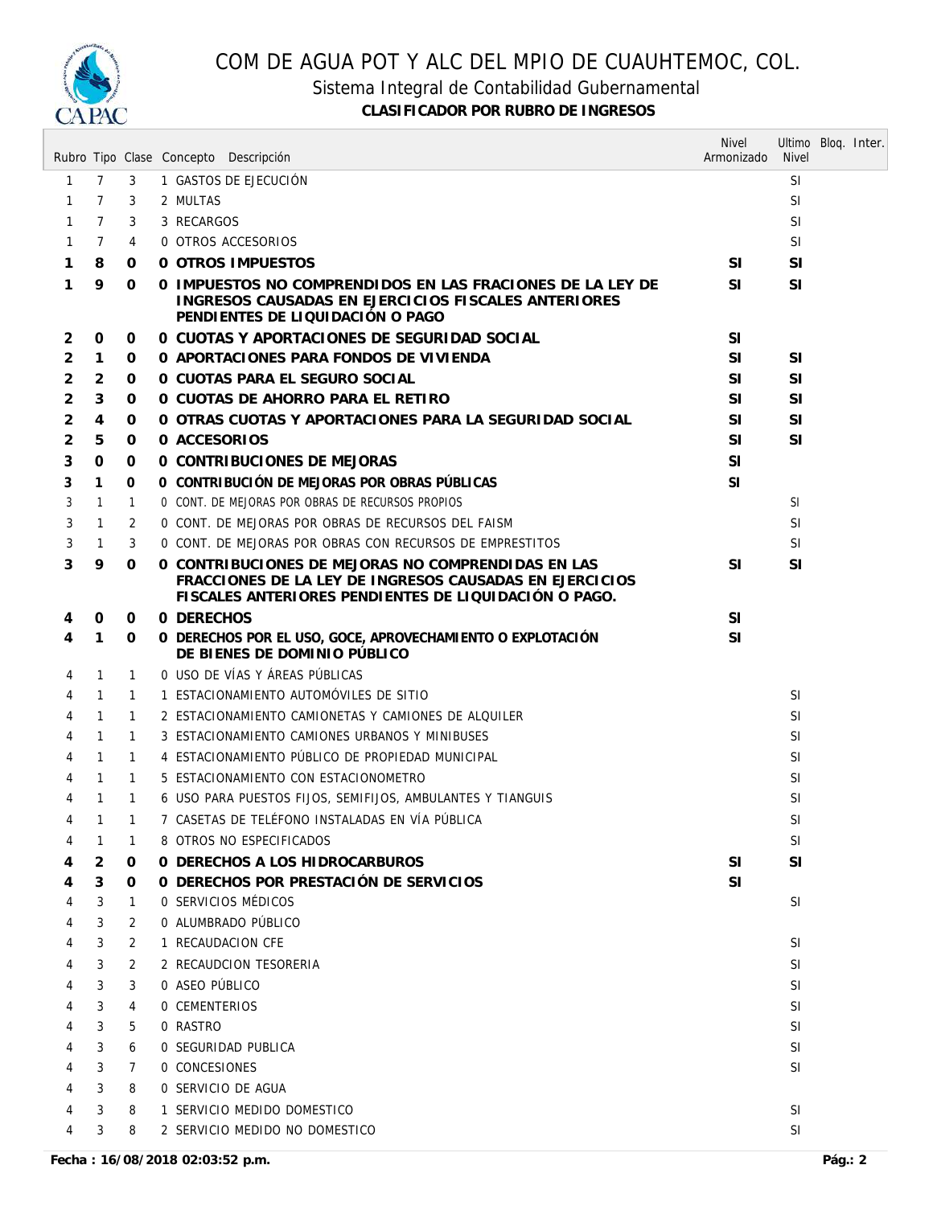

### Sistema Integral de Contabilidad Gubernamental

|   |                |              | Rubro Tipo Clase Concepto Descripción                                                                                                                                  | <b>Nivel</b><br>Armonizado | Ultimo Bloq. Inter.<br><b>Nivel</b> |  |
|---|----------------|--------------|------------------------------------------------------------------------------------------------------------------------------------------------------------------------|----------------------------|-------------------------------------|--|
| 1 | $\overline{7}$ | 3            | 1 GASTOS DE EJECUCIÓN                                                                                                                                                  |                            | <b>SI</b>                           |  |
| 1 | $\overline{7}$ | 3            | 2 MULTAS                                                                                                                                                               |                            | <b>SI</b>                           |  |
| 1 | 7              | 3            | 3 RECARGOS                                                                                                                                                             |                            | <b>SI</b>                           |  |
| 1 | 7              | 4            | 0 OTROS ACCESORIOS                                                                                                                                                     |                            | <b>SI</b>                           |  |
| 1 | 8              | 0            | <b>0 OTROS IMPUESTOS</b>                                                                                                                                               | <b>SI</b>                  | <b>SI</b>                           |  |
| 1 | 9              | 0            | 0 IMPUESTOS NO COMPRENDIDOS EN LAS FRACIONES DE LA LEY DE<br>INGRESOS CAUSADAS EN EJERCICIOS FISCALES ANTERIORES<br>PENDIENTES DE LIQUIDACIÓN O PAGO                   | <b>SI</b>                  | <b>SI</b>                           |  |
| 2 | 0              | 0            | 0 CUOTAS Y APORTACIONES DE SEGURIDAD SOCIAL                                                                                                                            | <b>SI</b>                  |                                     |  |
| 2 | $\mathbf{1}$   | 0            | O APORTACIONES PARA FONDOS DE VIVIENDA                                                                                                                                 | SI.                        | <b>SI</b>                           |  |
| 2 | 2              | 0            | O CUOTAS PARA EL SEGURO SOCIAL                                                                                                                                         | <b>SI</b>                  | <b>SI</b>                           |  |
| 2 | 3              | 0            | O CUOTAS DE AHORRO PARA EL RETIRO                                                                                                                                      | <b>SI</b>                  | <b>SI</b>                           |  |
| 2 | 4              | 0            | O OTRAS CUOTAS Y APORTACIONES PARA LA SEGURIDAD SOCIAL                                                                                                                 | <b>SI</b>                  | SI                                  |  |
| 2 | 5              | 0            | 0 ACCESORIOS                                                                                                                                                           | SI.                        | <b>SI</b>                           |  |
| 3 | 0              | 0            | 0 CONTRIBUCIONES DE MEJORAS                                                                                                                                            | <b>SI</b>                  |                                     |  |
| 3 | 1              | 0            | O CONTRIBUCIÓN DE MEJORAS POR OBRAS PÚBLICAS                                                                                                                           | <sup>SI</sup>              |                                     |  |
| 3 | $\mathbf{1}$   | 1            | 0 CONT. DE MEJORAS POR OBRAS DE RECURSOS PROPIOS                                                                                                                       |                            | -SI                                 |  |
| 3 | 1              | 2            | O CONT. DE MEJORAS POR OBRAS DE RECURSOS DEL FAISM                                                                                                                     |                            | SI                                  |  |
| 3 | $\mathbf{1}$   | 3            | 0 CONT. DE MEJORAS POR OBRAS CON RECURSOS DE EMPRESTITOS                                                                                                               |                            | <b>SI</b>                           |  |
| 3 | 9              | 0            | O CONTRIBUCIONES DE MEJORAS NO COMPRENDIDAS EN LAS<br>FRACCIONES DE LA LEY DE INGRESOS CAUSADAS EN EJERCICIOS<br>FISCALES ANTERIORES PENDIENTES DE LIQUIDACIÓN O PAGO. | <b>SI</b>                  | <b>SI</b>                           |  |
| 4 | 0              | 0            | 0 DERECHOS                                                                                                                                                             | <b>SI</b>                  |                                     |  |
| 4 | 1              | 0            | O DERECHOS POR EL USO, GOCE, APROVECHAMIENTO O EXPLOTACIÓN<br>DE BIENES DE DOMINIO PÚBLICO                                                                             | <b>SI</b>                  |                                     |  |
| 4 | $\mathbf{1}$   | 1            | O USO DE VÍAS Y ÁREAS PÚBLICAS                                                                                                                                         |                            |                                     |  |
| 4 | $\mathbf{1}$   | 1            | 1 ESTACIONAMIENTO AUTOMÓVILES DE SITIO                                                                                                                                 |                            | <b>SI</b>                           |  |
| 4 | $\mathbf{1}$   | $\mathbf{1}$ | 2 ESTACIONAMIENTO CAMIONETAS Y CAMIONES DE ALQUILER                                                                                                                    |                            | <b>SI</b>                           |  |
| 4 | $\mathbf{1}$   | 1            | 3 ESTACIONAMIENTO CAMIONES URBANOS Y MINIBUSES                                                                                                                         |                            | <b>SI</b>                           |  |
| 4 | $\mathbf{1}$   | 1            | 4 ESTACIONAMIENTO PÚBLICO DE PROPIEDAD MUNICIPAL                                                                                                                       |                            | <b>SI</b>                           |  |
| 4 | $\mathbf{1}$   | 1            | 5 ESTACIONAMIENTO CON ESTACIONOMETRO                                                                                                                                   |                            | <b>SI</b>                           |  |
| 4 | $\mathbf{1}$   | 1            | 6 USO PARA PUESTOS FIJOS, SEMIFIJOS, AMBULANTES Y TIANGUIS                                                                                                             |                            | <b>SI</b>                           |  |
|   | $\mathbf{1}$   |              | 7 CASETAS DE TELÉFONO INSTALADAS EN VÍA PÚBLICA                                                                                                                        |                            | $\mathsf{SI}$                       |  |
| 4 | 1              | 1            | 8 OTROS NO ESPECIFICADOS                                                                                                                                               |                            | <b>SI</b>                           |  |
| 4 | 2              | 0            | 0 DERECHOS A LOS HIDROCARBUROS                                                                                                                                         | SI                         | <b>SI</b>                           |  |
| 4 | 3              | 0            | O DERECHOS POR PRESTACIÓN DE SERVICIOS                                                                                                                                 | SI                         |                                     |  |
| 4 | 3              | 1            | 0 SERVICIOS MÉDICOS                                                                                                                                                    |                            | SI                                  |  |
| 4 | 3              | 2            | 0 ALUMBRADO PÚBLICO                                                                                                                                                    |                            |                                     |  |
| 4 | 3              | 2            | 1 RECAUDACION CFE                                                                                                                                                      |                            | SI                                  |  |
|   | 3              | 2            | 2 RECAUDCION TESORERIA                                                                                                                                                 |                            | SI                                  |  |
|   | 3              | 3            | 0 ASEO PÚBLICO                                                                                                                                                         |                            | <b>SI</b>                           |  |
|   | 3              | 4            | <b>0 CEMENTERIOS</b>                                                                                                                                                   |                            | <b>SI</b>                           |  |
|   | 3              | 5            | 0 RASTRO                                                                                                                                                               |                            | SI                                  |  |
|   | 3              | 6            | 0 SEGURIDAD PUBLICA                                                                                                                                                    |                            | SI                                  |  |
|   | 3              | 7            | 0 CONCESIONES                                                                                                                                                          |                            | SI                                  |  |
|   | 3              | 8            | 0 SERVICIO DE AGUA                                                                                                                                                     |                            |                                     |  |
|   | 3              | 8            | 1 SERVICIO MEDIDO DOMESTICO                                                                                                                                            |                            | <b>SI</b>                           |  |
| 4 | 3              | 8            | 2 SERVICIO MEDIDO NO DOMESTICO                                                                                                                                         |                            | <b>SI</b>                           |  |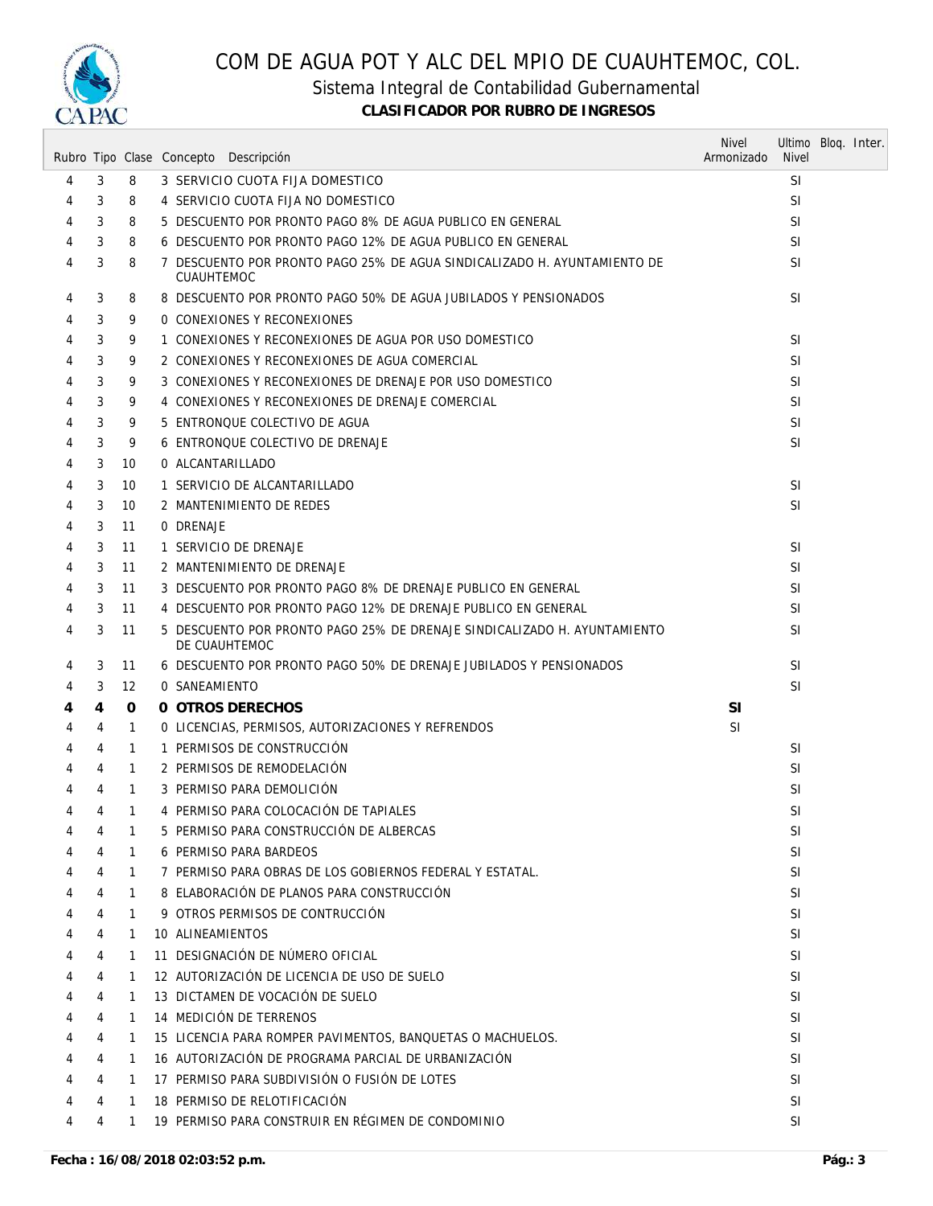

### Sistema Integral de Contabilidad Gubernamental

|   |                |              | Rubro Tipo Clase Concepto Descripción                                                     | <b>Nivel</b><br>Armonizado | Ultimo Blog. Inter.<br><b>Nivel</b> |  |
|---|----------------|--------------|-------------------------------------------------------------------------------------------|----------------------------|-------------------------------------|--|
| 4 | 3              | 8            | 3 SERVICIO CUOTA FIJA DOMESTICO                                                           |                            | <sup>SI</sup>                       |  |
| 4 | 3              | 8            | 4 SERVICIO CUOTA FIJA NO DOMESTICO                                                        |                            | <b>SI</b>                           |  |
| 4 | 3              | 8            | 5 DESCUENTO POR PRONTO PAGO 8% DE AGUA PUBLICO EN GENERAL                                 |                            | <b>SI</b>                           |  |
| 4 | 3              | 8            | 6 DESCUENTO POR PRONTO PAGO 12% DE AGUA PUBLICO EN GENERAL                                |                            | <b>SI</b>                           |  |
| 4 | 3              | 8            | 7 DESCUENTO POR PRONTO PAGO 25% DE AGUA SINDICALIZADO H. AYUNTAMIENTO DE<br>CUAUHTEMOC    |                            | <b>SI</b>                           |  |
| 4 | 3              | 8            | 8 DESCUENTO POR PRONTO PAGO 50% DE AGUA JUBILADOS Y PENSIONADOS                           |                            | SI                                  |  |
| 4 | 3              | 9            | 0 CONEXIONES Y RECONEXIONES                                                               |                            |                                     |  |
| 4 | 3              | 9            | 1 CONEXIONES Y RECONEXIONES DE AGUA POR USO DOMESTICO                                     |                            | <b>SI</b>                           |  |
| 4 | 3              | 9            | 2 CONEXIONES Y RECONEXIONES DE AGUA COMERCIAL                                             |                            | <b>SI</b>                           |  |
| 4 | 3              | 9            | 3 CONEXIONES Y RECONEXIONES DE DRENAJE POR USO DOMESTICO                                  |                            | <b>SI</b>                           |  |
| 4 | 3              | 9            | 4 CONEXIONES Y RECONEXIONES DE DRENAJE COMERCIAL                                          |                            | <b>SI</b>                           |  |
| 4 | 3              | 9            | 5 ENTRONQUE COLECTIVO DE AGUA                                                             |                            | <b>SI</b>                           |  |
| 4 | 3              | 9            | 6 ENTRONQUE COLECTIVO DE DRENAJE                                                          |                            | <b>SI</b>                           |  |
| 4 | 3              | 10           | 0 ALCANTARILLADO                                                                          |                            |                                     |  |
| 4 | 3              | 10           | 1 SERVICIO DE ALCANTARILLADO                                                              |                            | <b>SI</b>                           |  |
| 4 | 3              | 10           | 2 MANTENIMIENTO DE REDES                                                                  |                            | SI                                  |  |
| 4 | 3              | 11           | 0 DRENAJE                                                                                 |                            |                                     |  |
| 4 | 3              | 11           | 1 SERVICIO DE DRENAJE                                                                     |                            | <b>SI</b>                           |  |
| 4 | 3              | 11           | 2 MANTENIMIENTO DE DRENAJE                                                                |                            | <b>SI</b>                           |  |
| 4 | 3              | 11           | 3 DESCUENTO POR PRONTO PAGO 8% DE DRENAJE PUBLICO EN GENERAL                              |                            | <b>SI</b>                           |  |
| 4 | 3              | 11           | 4 DESCUENTO POR PRONTO PAGO 12% DE DRENAJE PUBLICO EN GENERAL                             |                            | SI                                  |  |
| 4 | 3              | 11           | 5 DESCUENTO POR PRONTO PAGO 25% DE DRENAJE SINDICALIZADO H. AYUNTAMIENTO<br>DE CUAUHTEMOC |                            | SI                                  |  |
| 4 | 3              | 11           | 6 DESCUENTO POR PRONTO PAGO 50% DE DRENAJE JUBILADOS Y PENSIONADOS                        |                            | <b>SI</b>                           |  |
| 4 | 3              | 12           | 0 SANEAMIENTO                                                                             |                            | SI                                  |  |
| 4 | 4              | 0            | 0 OTROS DERECHOS                                                                          | <b>SI</b>                  |                                     |  |
| 4 | 4              | 1            | O LICENCIAS, PERMISOS, AUTORIZACIONES Y REFRENDOS                                         | SI.                        |                                     |  |
| 4 | 4              | $\mathbf{1}$ | 1 PERMISOS DE CONSTRUCCIÓN                                                                |                            | <b>SI</b>                           |  |
| 4 | 4              | 1            | 2 PERMISOS DE REMODELACIÓN                                                                |                            | SI                                  |  |
| 4 | 4              | $\mathbf{1}$ | 3 PERMISO PARA DEMOLICIÓN                                                                 |                            | SI                                  |  |
| 4 | 4              | $\mathbf{1}$ | 4 PERMISO PARA COLOCACIÓN DE TAPIALES                                                     |                            | SI                                  |  |
| 4 | 4              | 1            | 5 PERMISO PARA CONSTRUCCIÓN DE ALBERCAS                                                   |                            | <b>SI</b>                           |  |
| 4 | 4              | $\mathbf{1}$ | <b>6 PERMISO PARA BARDEOS</b>                                                             |                            | SI.                                 |  |
| 4 | 4              | 1            | 7 PERMISO PARA OBRAS DE LOS GOBIERNOS FEDERAL Y ESTATAL.                                  |                            | <b>SI</b>                           |  |
| 4 | 4              | 1            | 8 ELABORACIÓN DE PLANOS PARA CONSTRUCCIÓN                                                 |                            | SI                                  |  |
| 4 | 4              | $\mathbf{1}$ | 9 OTROS PERMISOS DE CONTRUCCIÓN                                                           |                            | SI                                  |  |
| 4 | 4              | $\mathbf{1}$ | 10 ALINEAMIENTOS                                                                          |                            | <b>SI</b>                           |  |
| 4 | $\overline{4}$ | $\mathbf{1}$ | 11 DESIGNACIÓN DE NÚMERO OFICIAL                                                          |                            | SI                                  |  |
| 4 | 4              | 1            | 12 AUTORIZACIÓN DE LICENCIA DE USO DE SUELO                                               |                            | SI                                  |  |
| 4 | 4              | $\mathbf{1}$ | 13 DICTAMEN DE VOCACIÓN DE SUELO                                                          |                            | SI                                  |  |
| 4 | 4              | 1            | 14 MEDICIÓN DE TERRENOS                                                                   |                            | SI                                  |  |
| 4 | 4              | 1            | 15 LICENCIA PARA ROMPER PAVIMENTOS, BANQUETAS O MACHUELOS.                                |                            | SI                                  |  |
| 4 | 4              | 1            | 16 AUTORIZACIÓN DE PROGRAMA PARCIAL DE URBANIZACIÓN                                       |                            | SI                                  |  |
| 4 | 4              | 1            | 17 PERMISO PARA SUBDIVISIÓN O FUSIÓN DE LOTES                                             |                            | SI                                  |  |
| 4 | 4              | $\mathbf{1}$ | 18 PERMISO DE RELOTIFICACIÓN                                                              |                            | <b>SI</b>                           |  |
| 4 | 4              | $\mathbf{1}$ | 19 PERMISO PARA CONSTRUIR EN RÉGIMEN DE CONDOMINIO                                        |                            | SI                                  |  |
|   |                |              |                                                                                           |                            |                                     |  |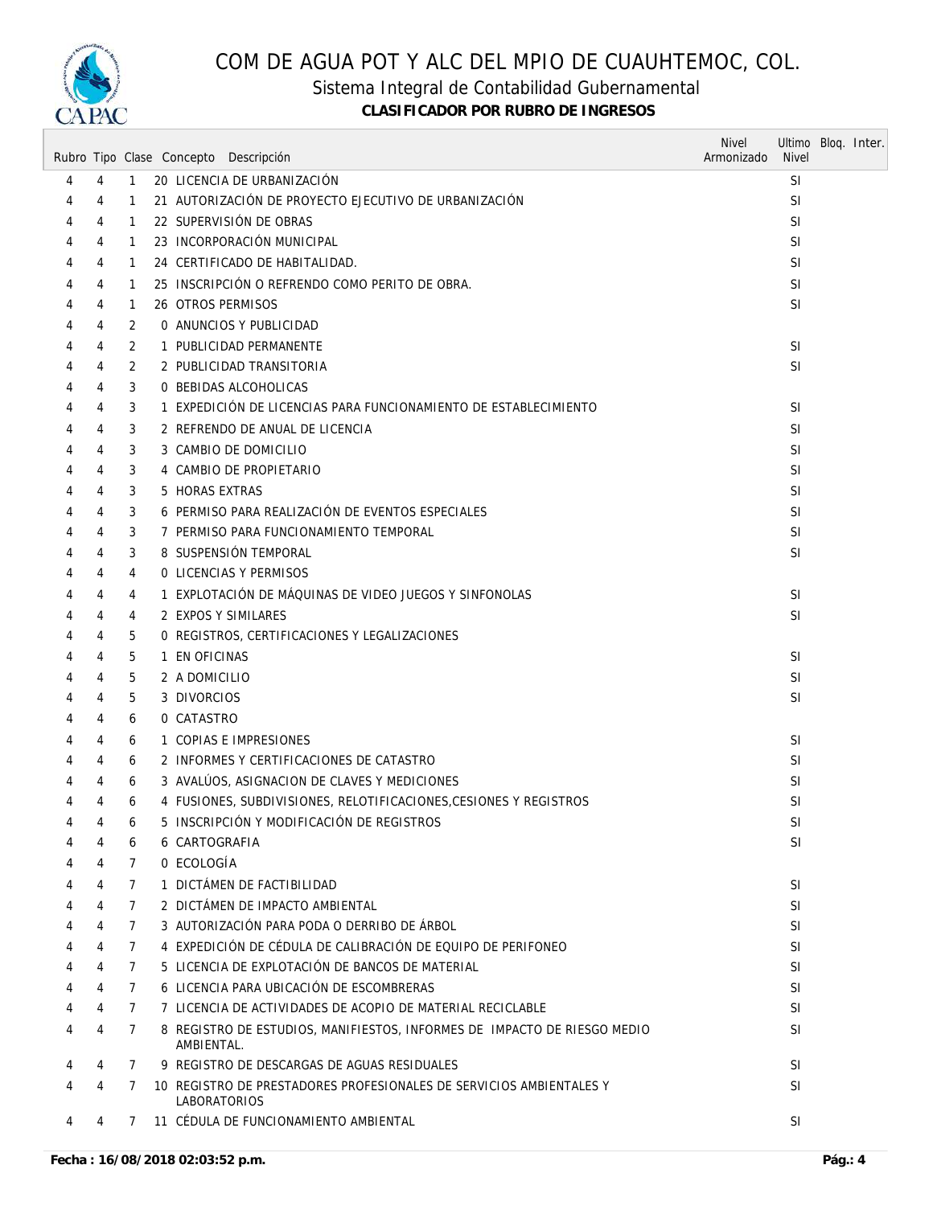

Sistema Integral de Contabilidad Gubernamental

|   |                     |                | Rubro Tipo Clase Concepto Descripción                                                                          | <b>Nivel</b><br>Armonizado | Ultimo Bloq. Inter.<br><b>Nivel</b> |  |
|---|---------------------|----------------|----------------------------------------------------------------------------------------------------------------|----------------------------|-------------------------------------|--|
| 4 | 4                   | $\mathbf{1}$   | 20 LICENCIA DE URBANIZACIÓN                                                                                    |                            | <b>SI</b>                           |  |
| 4 | 4                   | 1              | 21 AUTORIZACIÓN DE PROYECTO EJECUTIVO DE URBANIZACIÓN                                                          |                            | <b>SI</b>                           |  |
| 4 | 4                   | 1              | 22 SUPERVISIÓN DE OBRAS                                                                                        |                            | SI                                  |  |
| 4 | 4                   | 1              | 23 INCORPORACIÓN MUNICIPAL                                                                                     |                            | <b>SI</b>                           |  |
| 4 | 4                   | 1              | 24 CERTIFICADO DE HABITALIDAD.                                                                                 |                            | SI                                  |  |
| 4 | 4                   | 1              | 25 INSCRIPCIÓN O REFRENDO COMO PERITO DE OBRA.                                                                 |                            | <b>SI</b>                           |  |
| 4 | 4                   | $\mathbf{1}$   | 26 OTROS PERMISOS                                                                                              |                            | SI                                  |  |
| 4 | 4                   | 2              | 0 ANUNCIOS Y PUBLICIDAD                                                                                        |                            |                                     |  |
| 4 | 4                   | 2              | 1 PUBLICIDAD PERMANENTE                                                                                        |                            | <b>SI</b>                           |  |
| 4 | 4                   | 2              | 2 PUBLICIDAD TRANSITORIA                                                                                       |                            | SI                                  |  |
| 4 | 4                   | 3              | 0 BEBIDAS ALCOHOLICAS                                                                                          |                            |                                     |  |
| 4 | 4                   | 3              | 1 EXPEDICIÓN DE LICENCIAS PARA FUNCIONAMIENTO DE ESTABLECIMIENTO                                               |                            | <b>SI</b>                           |  |
| 4 | 4                   | 3              | 2 REFRENDO DE ANUAL DE LICENCIA                                                                                |                            | <b>SI</b>                           |  |
| 4 | 4                   | 3              | 3 CAMBIO DE DOMICILIO                                                                                          |                            | SI                                  |  |
| 4 | 4                   | 3              | 4 CAMBIO DE PROPIETARIO                                                                                        |                            | <b>SI</b>                           |  |
| 4 | 4                   | 3              | 5 HORAS EXTRAS                                                                                                 |                            | SI                                  |  |
| 4 | 4                   | 3              | 6 PERMISO PARA REALIZACIÓN DE EVENTOS ESPECIALES                                                               |                            | SI                                  |  |
| 4 | 4                   | 3              | 7 PERMISO PARA FUNCIONAMIENTO TEMPORAL                                                                         |                            | <b>SI</b>                           |  |
| 4 | 4                   | 3              | 8 SUSPENSIÓN TEMPORAL                                                                                          |                            | <b>SI</b>                           |  |
| 4 | 4                   | 4              | <b>0 LICENCIAS Y PERMISOS</b>                                                                                  |                            |                                     |  |
| 4 | 4                   | 4              | 1 EXPLOTACIÓN DE MÁQUINAS DE VIDEO JUEGOS Y SINFONOLAS                                                         |                            | <b>SI</b>                           |  |
| 4 | 4                   | 4              | 2 EXPOS Y SIMILARES                                                                                            |                            | <b>SI</b>                           |  |
| 4 | 4                   | 5              | 0 REGISTROS, CERTIFICACIONES Y LEGALIZACIONES                                                                  |                            |                                     |  |
| 4 | 4                   | 5              | 1 EN OFICINAS                                                                                                  |                            | <b>SI</b>                           |  |
| 4 | 4                   | 5              | 2 A DOMICILIO                                                                                                  |                            | <b>SI</b>                           |  |
| 4 | 4                   | 5              | 3 DIVORCIOS                                                                                                    |                            | SI                                  |  |
| 4 | 4                   | 6              | 0 CATASTRO                                                                                                     |                            |                                     |  |
| 4 | 4                   | 6              | 1 COPIAS E IMPRESIONES                                                                                         |                            | <b>SI</b>                           |  |
| 4 | 4                   | 6              | 2 INFORMES Y CERTIFICACIONES DE CATASTRO                                                                       |                            | SI                                  |  |
| 4 | 4                   | 6              | 3 AVALÚOS, ASIGNACION DE CLAVES Y MEDICIONES                                                                   |                            | SI                                  |  |
| 4 | 4                   | 6              | 4 FUSIONES, SUBDIVISIONES, RELOTIFICACIONES, CESIONES Y REGISTROS<br>5 INSCRIPCIÓN Y MODIFICACIÓN DE REGISTROS |                            | SI                                  |  |
| 4 | $\overline{4}$<br>4 | 6<br>6         | 6 CARTOGRAFIA                                                                                                  |                            | SI<br>SI                            |  |
|   | 4                   | $\overline{7}$ | 0 ECOLOGÍA                                                                                                     |                            |                                     |  |
| 4 | 4                   | $\overline{7}$ | 1 DICTÁMEN DE FACTIBILIDAD                                                                                     |                            | <sup>SI</sup>                       |  |
|   | 4                   | $\overline{7}$ | 2 DICTÁMEN DE IMPACTO AMBIENTAL                                                                                |                            | SI                                  |  |
|   | 4                   | $\overline{7}$ | 3 AUTORIZACIÓN PARA PODA O DERRIBO DE ÁRBOL                                                                    |                            | SI                                  |  |
|   | 4                   | 7              | 4 EXPEDICIÓN DE CÉDULA DE CALIBRACIÓN DE EQUIPO DE PERIFONEO                                                   |                            | SI                                  |  |
| 4 | 4                   | $\overline{7}$ | 5 LICENCIA DE EXPLOTACIÓN DE BANCOS DE MATERIAL                                                                |                            | SI.                                 |  |
| 4 | 4                   | $\overline{7}$ | 6 LICENCIA PARA UBICACIÓN DE ESCOMBRERAS                                                                       |                            | SI                                  |  |
|   | 4                   | $\overline{7}$ | 7 LICENCIA DE ACTIVIDADES DE ACOPIO DE MATERIAL RECICLABLE                                                     |                            | SI                                  |  |
| 4 | 4                   | 7              | 8 REGISTRO DE ESTUDIOS, MANIFIESTOS, INFORMES DE IMPACTO DE RIESGO MEDIO<br>AMBIENTAL.                         |                            | SI                                  |  |
| 4 | 4                   | $\overline{7}$ | 9 REGISTRO DE DESCARGAS DE AGUAS RESIDUALES                                                                    |                            | <b>SI</b>                           |  |
| 4 | 4                   | 7              | 10 REGISTRO DE PRESTADORES PROFESIONALES DE SERVICIOS AMBIENTALES Y<br><b>LABORATORIOS</b>                     |                            | SI                                  |  |
| 4 | 4                   | $\overline{7}$ | 11 CÉDULA DE FUNCIONAMIENTO AMBIENTAL                                                                          |                            | SI                                  |  |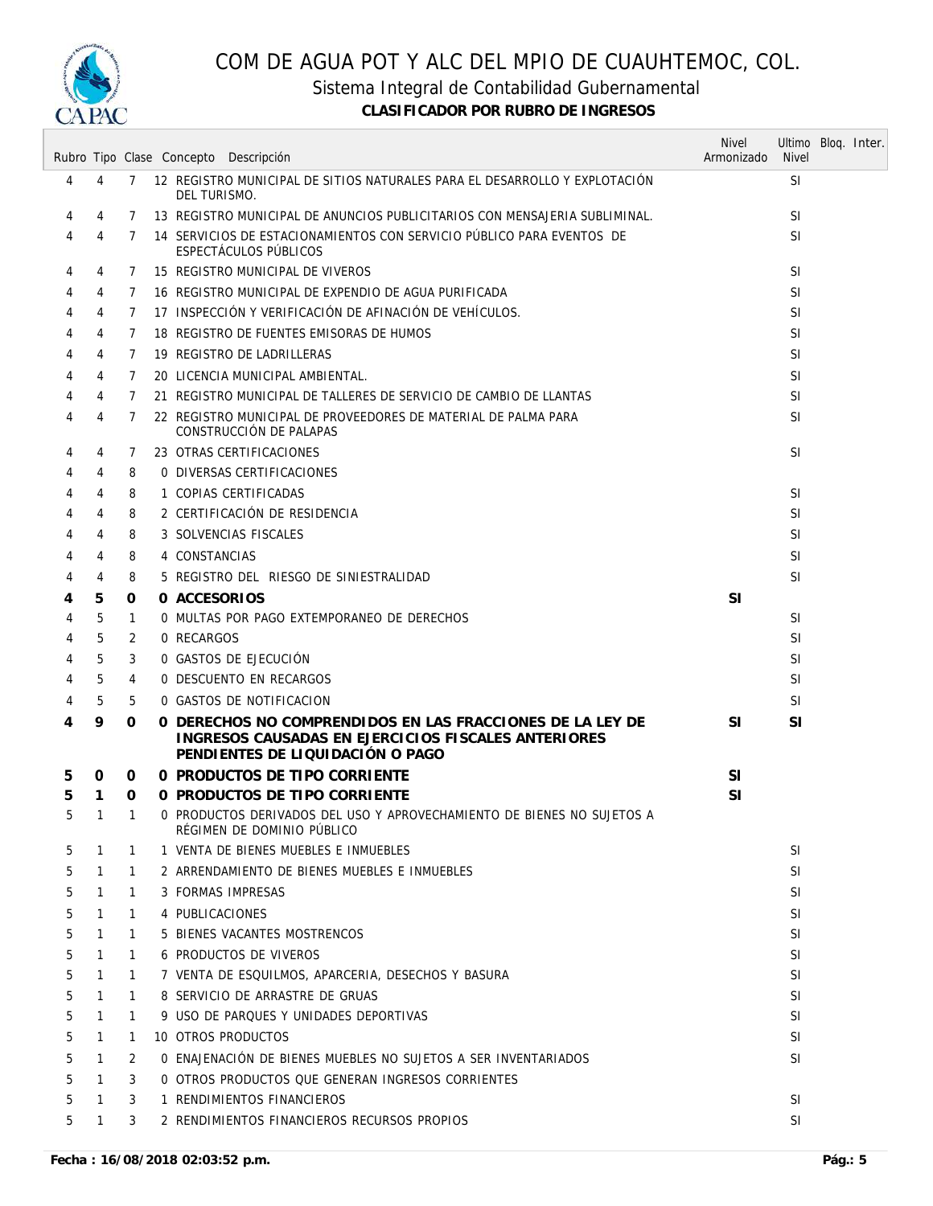

Sistema Integral de Contabilidad Gubernamental

|   |              |              | Rubro Tipo Clase Concepto Descripción                                                                                                                | <b>Nivel</b><br>Armonizado | Ultimo Bloq. Inter.<br><b>Nivel</b> |  |
|---|--------------|--------------|------------------------------------------------------------------------------------------------------------------------------------------------------|----------------------------|-------------------------------------|--|
| 4 | 4            | 7            | 12 REGISTRO MUNICIPAL DE SITIOS NATURALES PARA EL DESARROLLO Y EXPLOTACIÓN<br>DEL TURISMO.                                                           |                            | <b>SI</b>                           |  |
| 4 | 4            | 7            | 13 REGISTRO MUNICIPAL DE ANUNCIOS PUBLICITARIOS CON MENSAJERIA SUBLIMINAL.                                                                           |                            | <b>SI</b>                           |  |
| 4 | 4            | 7            | 14 SERVICIOS DE ESTACIONAMIENTOS CON SERVICIO PÚBLICO PARA EVENTOS DE<br>ESPECTÁCULOS PÚBLICOS                                                       |                            | <b>SI</b>                           |  |
| 4 | 4            | 7            | 15 REGISTRO MUNICIPAL DE VIVEROS                                                                                                                     |                            | <b>SI</b>                           |  |
| 4 | 4            | 7            | 16 REGISTRO MUNICIPAL DE EXPENDIO DE AGUA PURIFICADA                                                                                                 |                            | <b>SI</b>                           |  |
| 4 | 4            | 7            | 17 INSPECCIÓN Y VERIFICACIÓN DE AFINACIÓN DE VEHÍCULOS.                                                                                              |                            | <b>SI</b>                           |  |
| 4 | 4            | 7            | 18 REGISTRO DE FUENTES EMISORAS DE HUMOS                                                                                                             |                            | <b>SI</b>                           |  |
| 4 | 4            | 7            | 19 REGISTRO DE LADRILLERAS                                                                                                                           |                            | SI                                  |  |
| 4 | 4            | 7            | 20 LICENCIA MUNICIPAL AMBIENTAL.                                                                                                                     |                            | SI                                  |  |
| 4 | 4            | 7            | 21 REGISTRO MUNICIPAL DE TALLERES DE SERVICIO DE CAMBIO DE LLANTAS                                                                                   |                            | <b>SI</b>                           |  |
| 4 | 4            | 7            | 22 REGISTRO MUNICIPAL DE PROVEEDORES DE MATERIAL DE PALMA PARA<br>CONSTRUCCIÓN DE PALAPAS                                                            |                            | SI                                  |  |
| 4 | 4            | 7            | 23 OTRAS CERTIFICACIONES                                                                                                                             |                            | <b>SI</b>                           |  |
| 4 | 4            | 8            | 0 DIVERSAS CERTIFICACIONES                                                                                                                           |                            |                                     |  |
| 4 | 4            | 8            | 1 COPIAS CERTIFICADAS                                                                                                                                |                            | <b>SI</b>                           |  |
| 4 | 4            | 8            | 2 CERTIFICACIÓN DE RESIDENCIA                                                                                                                        |                            | <b>SI</b>                           |  |
| 4 | 4            | 8            | 3 SOLVENCIAS FISCALES                                                                                                                                |                            | <b>SI</b>                           |  |
| 4 | 4            | 8            | 4 CONSTANCIAS                                                                                                                                        |                            | <b>SI</b>                           |  |
| 4 | 4            | 8            | 5 REGISTRO DEL RIESGO DE SINIESTRALIDAD                                                                                                              |                            | <b>SI</b>                           |  |
| 4 | 5            | 0            | 0 ACCESORIOS                                                                                                                                         | SI                         |                                     |  |
| 4 | 5            | 1            | O MULTAS POR PAGO EXTEMPORANEO DE DERECHOS                                                                                                           |                            | SI                                  |  |
| 4 | 5            | 2            | 0 RECARGOS                                                                                                                                           |                            | <b>SI</b>                           |  |
| 4 | 5            | 3            | 0 GASTOS DE EJECUCIÓN                                                                                                                                |                            | SI                                  |  |
| 4 | 5            | 4            | 0 DESCUENTO EN RECARGOS                                                                                                                              |                            | <b>SI</b>                           |  |
| 4 | 5            | 5            | 0 GASTOS DE NOTIFICACION                                                                                                                             |                            | <b>SI</b>                           |  |
| 4 | 9            | 0            | O DERECHOS NO COMPRENDIDOS EN LAS FRACCIONES DE LA LEY DE<br>INGRESOS CAUSADAS EN EJERCICIOS FISCALES ANTERIORES<br>PENDIENTES DE LIQUIDACIÓN O PAGO | <b>SI</b>                  | <b>SI</b>                           |  |
| 5 | 0            | 0            | 0 PRODUCTOS DE TIPO CORRIENTE                                                                                                                        | <b>SI</b>                  |                                     |  |
| 5 | 1            | 0            | 0 PRODUCTOS DE TIPO CORRIENTE                                                                                                                        | <b>SI</b>                  |                                     |  |
|   | 1 1          |              | O PRODUCTOS DERIVADOS DEL USO Y APROVECHAMIENTO DE BIENES NO SUJETOS A<br>RÉGIMEN DE DOMINIO PÚBLICO                                                 |                            |                                     |  |
| 5 | $\mathbf{1}$ | 1            | 1 VENTA DE BIENES MUEBLES E INMUEBLES                                                                                                                |                            | SI                                  |  |
| 5 | $\mathbf{1}$ | 1            | 2 ARRENDAMIENTO DE BIENES MUEBLES E INMUEBLES                                                                                                        |                            | SI                                  |  |
| 5 | 1            | 1            | 3 FORMAS IMPRESAS                                                                                                                                    |                            | SI                                  |  |
| 5 | $\mathbf{1}$ | $\mathbf{1}$ | 4 PUBLICACIONES                                                                                                                                      |                            | SI.                                 |  |
| 5 | 1            | 1            | 5 BIENES VACANTES MOSTRENCOS                                                                                                                         |                            | SI                                  |  |
| 5 | $\mathbf{1}$ | $\mathbf{1}$ | <b>6 PRODUCTOS DE VIVEROS</b>                                                                                                                        |                            | SI                                  |  |
| 5 | $\mathbf{1}$ | 1            | 7 VENTA DE ESQUILMOS, APARCERIA, DESECHOS Y BASURA                                                                                                   |                            | SI                                  |  |
| 5 | $\mathbf{1}$ | $\mathbf{1}$ | 8 SERVICIO DE ARRASTRE DE GRUAS                                                                                                                      |                            | SI.                                 |  |
| 5 | 1            | 1            | 9 USO DE PARQUES Y UNIDADES DEPORTIVAS                                                                                                               |                            | SI                                  |  |
| 5 | $\mathbf{1}$ | 1            | 10 OTROS PRODUCTOS                                                                                                                                   |                            | SI                                  |  |
| 5 | $\mathbf{1}$ | 2            | O ENAJENACIÓN DE BIENES MUEBLES NO SUJETOS A SER INVENTARIADOS                                                                                       |                            | SI                                  |  |
| 5 | $\mathbf{1}$ | 3            | 0 OTROS PRODUCTOS QUE GENERAN INGRESOS CORRIENTES                                                                                                    |                            |                                     |  |
| 5 | $\mathbf{1}$ | 3            | 1 RENDIMIENTOS FINANCIEROS                                                                                                                           |                            | <b>SI</b>                           |  |
| 5 | $\mathbf{1}$ | 3            | 2 RENDIMIENTOS FINANCIEROS RECURSOS PROPIOS                                                                                                          |                            | SI                                  |  |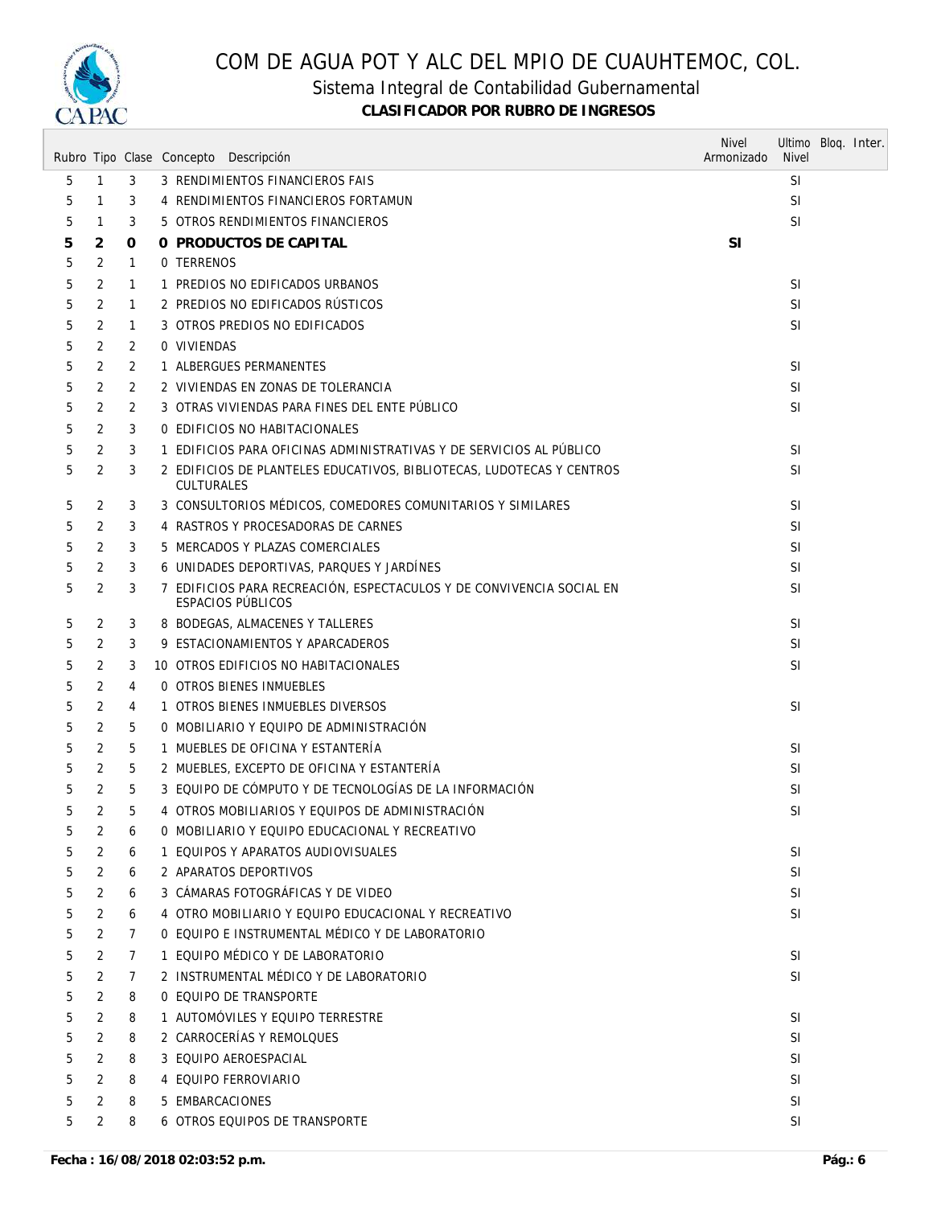

### Sistema Integral de Contabilidad Gubernamental

|    |                |                | Rubro Tipo Clase Concepto Descripción                                                            | <b>Nivel</b><br>Armonizado | Ultimo Bloq. Inter.<br><b>Nivel</b> |  |
|----|----------------|----------------|--------------------------------------------------------------------------------------------------|----------------------------|-------------------------------------|--|
| 5  | $\mathbf{1}$   | 3              | 3 RENDIMIENTOS FINANCIEROS FAIS                                                                  |                            | <b>SI</b>                           |  |
| 5  | 1              | 3              | 4 RENDIMIENTOS FINANCIEROS FORTAMUN                                                              |                            | <b>SI</b>                           |  |
| 5  | 1              | 3              | 5 OTROS RENDIMIENTOS FINANCIEROS                                                                 |                            | SI                                  |  |
| 5  | 2              | 0              | 0 PRODUCTOS DE CAPITAL                                                                           | <b>SI</b>                  |                                     |  |
| 5  | 2              | $\mathbf{1}$   | 0 TERRENOS                                                                                       |                            |                                     |  |
| 5  | 2              | $\mathbf{1}$   | 1 PREDIOS NO EDIFICADOS URBANOS                                                                  |                            | SI                                  |  |
| 5  | 2              | $\mathbf{1}$   | 2 PREDIOS NO EDIFICADOS RÚSTICOS                                                                 |                            | <b>SI</b>                           |  |
| 5  | 2              | $\mathbf{1}$   | 3 OTROS PREDIOS NO EDIFICADOS                                                                    |                            | SI                                  |  |
| 5  | 2              | 2              | 0 VIVIENDAS                                                                                      |                            |                                     |  |
| 5  | 2              | 2              | 1 ALBERGUES PERMANENTES                                                                          |                            | <b>SI</b>                           |  |
| 5  | 2              | 2              | 2 VIVIENDAS EN ZONAS DE TOLERANCIA                                                               |                            | <b>SI</b>                           |  |
| 5  | 2              | 2              | 3 OTRAS VIVIENDAS PARA FINES DEL ENTE PÚBLICO                                                    |                            | SI                                  |  |
| 5  | 2              | 3              | 0 EDIFICIOS NO HABITACIONALES                                                                    |                            |                                     |  |
| 5  | 2              | 3              | 1 EDIFICIOS PARA OFICINAS ADMINISTRATIVAS Y DE SERVICIOS AL PÚBLICO                              |                            | <b>SI</b>                           |  |
| 5  | 2              | 3              | 2 EDIFICIOS DE PLANTELES EDUCATIVOS, BIBLIOTECAS, LUDOTECAS Y CENTROS<br><b>CULTURALES</b>       |                            | <b>SI</b>                           |  |
| 5  | 2              | 3              | 3 CONSULTORIOS MÉDICOS, COMEDORES COMUNITARIOS Y SIMILARES                                       |                            | <b>SI</b>                           |  |
| 5  | 2              | 3              | 4 RASTROS Y PROCESADORAS DE CARNES                                                               |                            | SI                                  |  |
| 5  | 2              | 3              | 5 MERCADOS Y PLAZAS COMERCIALES                                                                  |                            | <b>SI</b>                           |  |
| 5  | 2              | 3              | 6 UNIDADES DEPORTIVAS, PARQUES Y JARDÍNES                                                        |                            | SI                                  |  |
| 5  | 2              | 3              | 7 EDIFICIOS PARA RECREACIÓN, ESPECTACULOS Y DE CONVIVENCIA SOCIAL EN<br><b>ESPACIOS PÚBLICOS</b> |                            | SI                                  |  |
| 5  | 2              | 3              | 8 BODEGAS, ALMACENES Y TALLERES                                                                  |                            | <b>SI</b>                           |  |
| 5  | 2              | 3              | 9 ESTACIONAMIENTOS Y APARCADEROS                                                                 |                            | <b>SI</b>                           |  |
| 5  | 2              | 3              | 10 OTROS EDIFICIOS NO HABITACIONALES                                                             |                            | SI                                  |  |
| 5  | 2              | 4              | <b>0 OTROS BIENES INMUEBLES</b>                                                                  |                            |                                     |  |
| 5  | 2              | 4              | 1 OTROS BIENES INMUEBLES DIVERSOS                                                                |                            | <b>SI</b>                           |  |
| 5  | 2              | 5              | 0 MOBILIARIO Y EQUIPO DE ADMINISTRACIÓN                                                          |                            |                                     |  |
| 5  | 2              | 5              | 1 MUEBLES DE OFICINA Y ESTANTERÍA                                                                |                            | SI                                  |  |
| 5  | 2              | 5              | 2 MUEBLES, EXCEPTO DE OFICINA Y ESTANTERÍA                                                       |                            | SI                                  |  |
| 5  | 2              | 5              | 3 EQUIPO DE CÓMPUTO Y DE TECNOLOGÍAS DE LA INFORMACIÓN                                           |                            | <b>SI</b>                           |  |
| 5  | 2              | 5              | 4 OTROS MOBILIARIOS Y EQUIPOS DE ADMINISTRACIÓN                                                  |                            | <b>SI</b>                           |  |
| 5  | 2              | 6              | 0 MOBILIARIO Y EQUIPO EDUCACIONAL Y RECREATIVO                                                   |                            |                                     |  |
| 5  | 2              | 6              | 1 EQUIPOS Y APARATOS AUDIOVISUALES                                                               |                            | <b>SI</b>                           |  |
| 5  | 2              | 6              | 2 APARATOS DEPORTIVOS                                                                            |                            | <b>SI</b>                           |  |
| 5  | 2              | 6              | 3 CÁMARAS FOTOGRÁFICAS Y DE VIDEO                                                                |                            | SI                                  |  |
| 5  | 2              | 6              | 4 OTRO MOBILIARIO Y EQUIPO EDUCACIONAL Y RECREATIVO                                              |                            | SI                                  |  |
| 5  | $\overline{2}$ | $\overline{7}$ | O EQUIPO E INSTRUMENTAL MÉDICO Y DE LABORATORIO                                                  |                            |                                     |  |
| 5  | 2              | $\overline{7}$ | 1 EQUIPO MÉDICO Y DE LABORATORIO                                                                 |                            | SI                                  |  |
| 5. | $\overline{2}$ | $\overline{7}$ | 2 INSTRUMENTAL MÉDICO Y DE LABORATORIO                                                           |                            | SI                                  |  |
| 5  | 2              | 8              | 0 EQUIPO DE TRANSPORTE                                                                           |                            |                                     |  |
| 5  | $\overline{2}$ | 8              | 1 AUTOMÓVILES Y EQUIPO TERRESTRE                                                                 |                            | SI                                  |  |
| 5  | 2              | 8              | 2 CARROCERÍAS Y REMOLQUES                                                                        |                            | SI                                  |  |
| 5  | $\overline{2}$ | 8              | 3 EQUIPO AEROESPACIAL                                                                            |                            | SI                                  |  |
| 5  | 2              | 8              | 4 EQUIPO FERROVIARIO                                                                             |                            | SI                                  |  |
| 5  | $\overline{2}$ | 8              | 5 EMBARCACIONES                                                                                  |                            | <b>SI</b>                           |  |
| 5  | 2              | 8              | 6 OTROS EQUIPOS DE TRANSPORTE                                                                    |                            | SI                                  |  |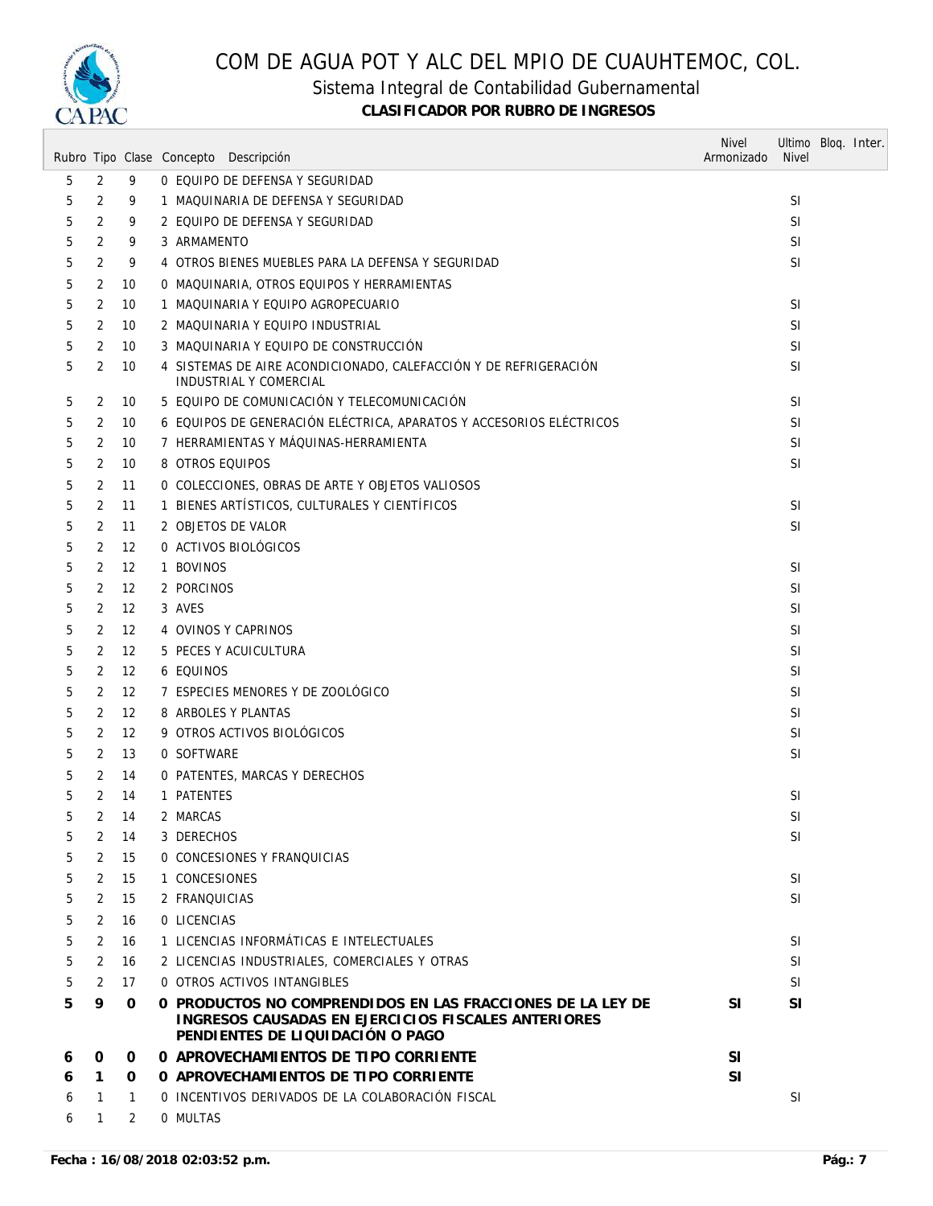

#### Sistema Integral de Contabilidad Gubernamental

|   |                |      | Rubro Tipo Clase Concepto Descripción                                                                                                                 | <b>Nivel</b><br>Armonizado | Ultimo Bloq. Inter.<br><b>Nivel</b> |  |
|---|----------------|------|-------------------------------------------------------------------------------------------------------------------------------------------------------|----------------------------|-------------------------------------|--|
| 5 | 2              | 9    | 0 EQUIPO DE DEFENSA Y SEGURIDAD                                                                                                                       |                            |                                     |  |
| 5 | 2              | 9    | 1 MAQUINARIA DE DEFENSA Y SEGURIDAD                                                                                                                   |                            | <b>SI</b>                           |  |
| 5 | 2              | 9    | 2 EQUIPO DE DEFENSA Y SEGURIDAD                                                                                                                       |                            | <b>SI</b>                           |  |
| 5 | 2              | 9    | 3 ARMAMENTO                                                                                                                                           |                            | SI                                  |  |
| 5 | 2              | 9    | 4 OTROS BIENES MUEBLES PARA LA DEFENSA Y SEGURIDAD                                                                                                    |                            | SI                                  |  |
| 5 | 2              | 10   | 0 MAQUINARIA, OTROS EQUIPOS Y HERRAMIENTAS                                                                                                            |                            |                                     |  |
| 5 | 2              | 10   | 1 MAQUINARIA Y EQUIPO AGROPECUARIO                                                                                                                    |                            | <b>SI</b>                           |  |
| 5 | 2              | 10   | 2 MAQUINARIA Y EQUIPO INDUSTRIAL                                                                                                                      |                            | <b>SI</b>                           |  |
| 5 | 2              | 10   | 3 MAQUINARIA Y EQUIPO DE CONSTRUCCIÓN                                                                                                                 |                            | <b>SI</b>                           |  |
| 5 | 2              | 10   | 4 SISTEMAS DE AIRE ACONDICIONADO, CALEFACCIÓN Y DE REFRIGERACIÓN<br>INDUSTRIAL Y COMERCIAL                                                            |                            | <b>SI</b>                           |  |
| 5 | 2              | 10   | 5 EQUIPO DE COMUNICACIÓN Y TELECOMUNICACIÓN                                                                                                           |                            | <b>SI</b>                           |  |
| 5 | 2              | 10   | 6 EQUIPOS DE GENERACIÓN ELÉCTRICA, APARATOS Y ACCESORIOS ELÉCTRICOS                                                                                   |                            | <b>SI</b>                           |  |
| 5 | 2              | 10   | 7 HERRAMIENTAS Y MÁQUINAS-HERRAMIENTA                                                                                                                 |                            | SI                                  |  |
| 5 | 2              | 10   | 8 OTROS EQUIPOS                                                                                                                                       |                            | SI                                  |  |
| 5 | 2              | 11   | O COLECCIONES, OBRAS DE ARTE Y OBJETOS VALIOSOS                                                                                                       |                            |                                     |  |
| 5 | 2              | 11   | 1 BIENES ARTÍSTICOS, CULTURALES Y CIENTÍFICOS                                                                                                         |                            | <b>SI</b>                           |  |
| 5 | 2              | 11   | 2 OBJETOS DE VALOR                                                                                                                                    |                            | SI                                  |  |
| 5 | 2              | 12   | 0 ACTIVOS BIOLÓGICOS                                                                                                                                  |                            |                                     |  |
| 5 | 2              | 12   | 1 BOVINOS                                                                                                                                             |                            | <b>SI</b>                           |  |
| 5 | 2              | 12   | 2 PORCINOS                                                                                                                                            |                            | SI                                  |  |
| 5 | 2              | 12   | 3 AVES                                                                                                                                                |                            | <b>SI</b>                           |  |
| 5 | 2              | 12   | 4 OVINOS Y CAPRINOS                                                                                                                                   |                            | SI                                  |  |
| 5 | 2              | 12   | 5 PECES Y ACUICULTURA                                                                                                                                 |                            | <b>SI</b>                           |  |
| 5 | 2              | 12   | <b>6 EQUINOS</b>                                                                                                                                      |                            | SI                                  |  |
| 5 | 2              | 12   | 7 ESPECIES MENORES Y DE ZOOLOGICO                                                                                                                     |                            | SI                                  |  |
| 5 | 2              | 12   | 8 ARBOLES Y PLANTAS                                                                                                                                   |                            | SI                                  |  |
| 5 | 2              | 12   | 9 OTROS ACTIVOS BIOLÓGICOS                                                                                                                            |                            | <b>SI</b>                           |  |
| 5 | 2              | 13   | 0 SOFTWARE                                                                                                                                            |                            | SI                                  |  |
| 5 | 2              | 14   | O PATENTES, MARCAS Y DERECHOS                                                                                                                         |                            |                                     |  |
| 5 | $\overline{2}$ | 14   | 1 PATENTES                                                                                                                                            |                            | SI                                  |  |
| 5 |                | 2 14 | 2 MARCAS                                                                                                                                              |                            | SI                                  |  |
| 5 | 2              | 14   | 3 DERECHOS                                                                                                                                            |                            | SI                                  |  |
| 5 | 2              | 15   | 0 CONCESIONES Y FRANQUICIAS                                                                                                                           |                            |                                     |  |
| 5 | $\overline{2}$ | 15   | 1 CONCESIONES                                                                                                                                         |                            | <b>SI</b>                           |  |
| 5 | 2              | 15   | 2 FRANQUICIAS                                                                                                                                         |                            | SI                                  |  |
| 5 | $\overline{2}$ | 16   | O LICENCIAS                                                                                                                                           |                            |                                     |  |
| 5 | $\overline{2}$ | 16   | 1 LICENCIAS INFORMÁTICAS E INTELECTUALES                                                                                                              |                            | <b>SI</b>                           |  |
| 5 | 2              | 16   | 2 LICENCIAS INDUSTRIALES, COMERCIALES Y OTRAS                                                                                                         |                            | <b>SI</b>                           |  |
| 5 | 2              | 17   | 0 OTROS ACTIVOS INTANGIBLES                                                                                                                           |                            | SI                                  |  |
| 5 | 9              | 0    | O PRODUCTOS NO COMPRENDIDOS EN LAS FRACCIONES DE LA LEY DE<br>INGRESOS CAUSADAS EN EJERCICIOS FISCALES ANTERIORES<br>PENDIENTES DE LIQUIDACIÓN O PAGO | <b>SI</b>                  | SI                                  |  |
| 6 | 0              | 0    | 0 APROVECHAMIENTOS DE TIPO CORRIENTE                                                                                                                  | <b>SI</b>                  |                                     |  |
| 6 | 1              | O    | O APROVECHAMIENTOS DE TIPO CORRIENTE                                                                                                                  | <b>SI</b>                  |                                     |  |
| 6 | $\mathbf{1}$   | 1    | O INCENTIVOS DERIVADOS DE LA COLABORACIÓN FISCAL                                                                                                      |                            | <b>SI</b>                           |  |
| 6 | 1              | 2    | 0 MULTAS                                                                                                                                              |                            |                                     |  |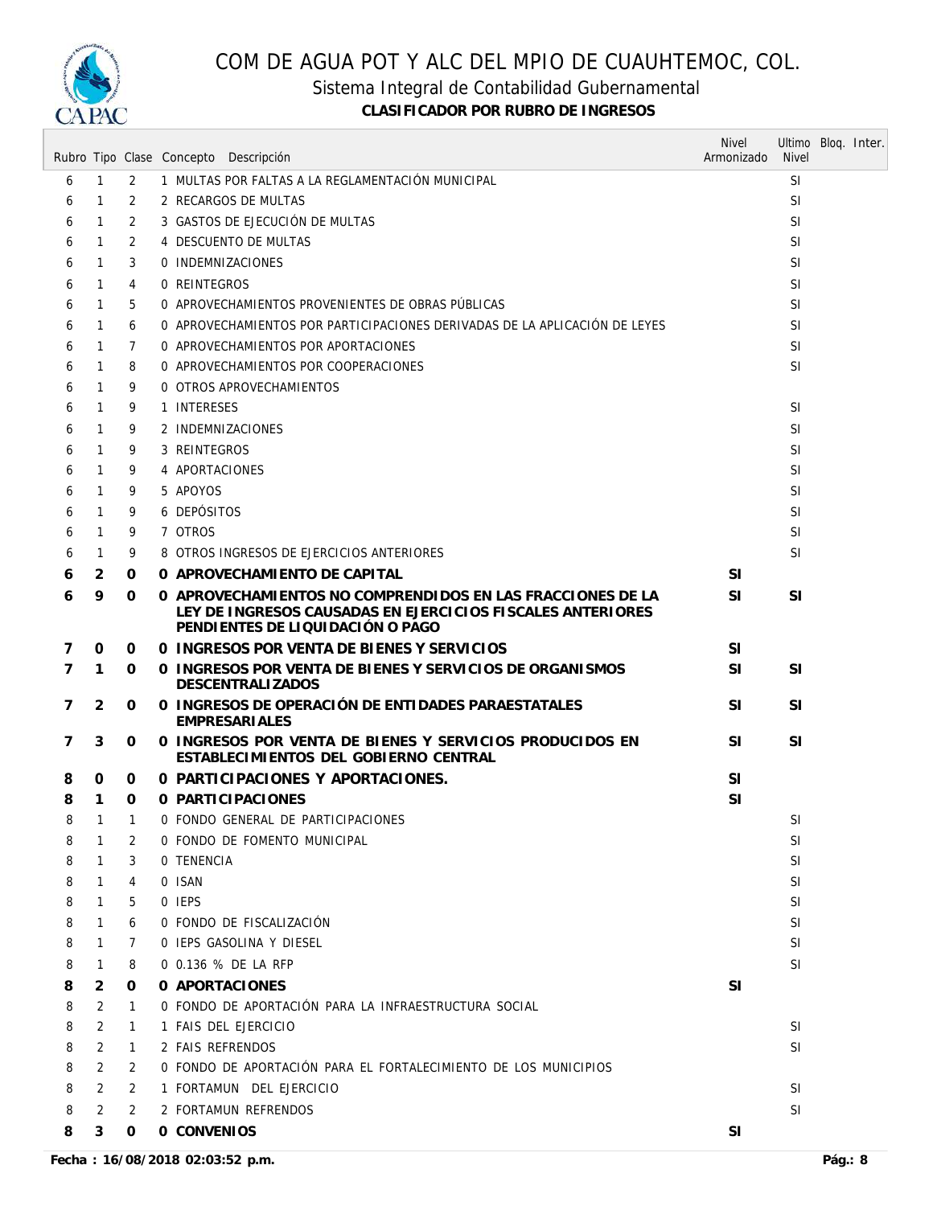

Sistema Integral de Contabilidad Gubernamental

|                |                |                | Rubro Tipo Clase Concepto Descripción                                                                                                                        | <b>Nivel</b><br>Armonizado | <b>Nivel</b>  | Ultimo Bloq. Inter. |
|----------------|----------------|----------------|--------------------------------------------------------------------------------------------------------------------------------------------------------------|----------------------------|---------------|---------------------|
| 6              | $\mathbf{1}$   | $\overline{2}$ | 1 MULTAS POR FALTAS A LA REGLAMENTACIÓN MUNICIPAL                                                                                                            |                            | <b>SI</b>     |                     |
| 6              | $\mathbf{1}$   | 2              | 2 RECARGOS DE MULTAS                                                                                                                                         |                            | <b>SI</b>     |                     |
| 6              | $\mathbf{1}$   | 2              | 3 GASTOS DE EJECUCIÓN DE MULTAS                                                                                                                              |                            | <b>SI</b>     |                     |
| 6              | 1              | 2              | 4 DESCUENTO DE MULTAS                                                                                                                                        |                            | <b>SI</b>     |                     |
| 6              | $\mathbf{1}$   | 3              | 0 INDEMNIZACIONES                                                                                                                                            |                            | <b>SI</b>     |                     |
| 6              | $\mathbf{1}$   | 4              | 0 REINTEGROS                                                                                                                                                 |                            | <b>SI</b>     |                     |
| 6              | $\mathbf{1}$   | 5              | O APROVECHAMIENTOS PROVENIENTES DE OBRAS PÚBLICAS                                                                                                            |                            | <b>SI</b>     |                     |
| 6              | $\mathbf{1}$   | 6              | 0 APROVECHAMIENTOS POR PARTICIPACIONES DERIVADAS DE LA APLICACIÓN DE LEYES                                                                                   |                            | <b>SI</b>     |                     |
| 6              | 1              | 7              | 0 APROVECHAMIENTOS POR APORTACIONES                                                                                                                          |                            | <b>SI</b>     |                     |
| 6              | $\mathbf{1}$   | 8              | 0 APROVECHAMIENTOS POR COOPERACIONES                                                                                                                         |                            | <b>SI</b>     |                     |
| 6              | $\mathbf{1}$   | 9              | 0 OTROS APROVECHAMIENTOS                                                                                                                                     |                            |               |                     |
| 6              | $\mathbf{1}$   | 9              | 1 INTERESES                                                                                                                                                  |                            | <b>SI</b>     |                     |
| 6              | $\mathbf{1}$   | 9              | 2 INDEMNIZACIONES                                                                                                                                            |                            | <b>SI</b>     |                     |
| 6              | $\mathbf{1}$   | 9              | 3 REINTEGROS                                                                                                                                                 |                            | <b>SI</b>     |                     |
| 6              | $\mathbf{1}$   | 9              | 4 APORTACIONES                                                                                                                                               |                            | <b>SI</b>     |                     |
| 6              | $\mathbf{1}$   | 9              | 5 APOYOS                                                                                                                                                     |                            | <sup>SI</sup> |                     |
| 6              | $\mathbf{1}$   | 9              | 6 DEPÓSITOS                                                                                                                                                  |                            | SI            |                     |
| 6              | $\mathbf{1}$   | 9              | 7 OTROS                                                                                                                                                      |                            | <b>SI</b>     |                     |
| 6              | $\mathbf{1}$   | 9              | 8 OTROS INGRESOS DE EJERCICIOS ANTERIORES                                                                                                                    |                            | <b>SI</b>     |                     |
| 6              | 2              | 0              | O APROVECHAMIENTO DE CAPITAL                                                                                                                                 | <b>SI</b>                  |               |                     |
| 6              | 9              | 0              | 0 APROVECHAMIENTOS NO COMPRENDIDOS EN LAS FRACCIONES DE LA<br>LEY DE INGRESOS CAUSADAS EN EJERCICIOS FISCALES ANTERIORES<br>PENDIENTES DE LIQUIDACIÓN O PAGO | <b>SI</b>                  | <b>SI</b>     |                     |
| 7              | 0              | 0              | 0 INGRESOS POR VENTA DE BIENES Y SERVICIOS                                                                                                                   | <b>SI</b>                  |               |                     |
| $\overline{7}$ | $\mathbf{1}$   | 0              | 0 INGRESOS POR VENTA DE BIENES Y SERVICIOS DE ORGANISMOS<br><b>DESCENTRALIZADOS</b>                                                                          | <b>SI</b>                  | <b>SI</b>     |                     |
| 7              | 2              | 0              | O INGRESOS DE OPERACIÓN DE ENTIDADES PARAESTATALES<br><b>EMPRESARIALES</b>                                                                                   | <b>SI</b>                  | <b>SI</b>     |                     |
| 7              | 3              | 0              | O INGRESOS POR VENTA DE BIENES Y SERVICIOS PRODUCIDOS EN<br>ESTABLECIMIENTOS DEL GOBIERNO CENTRAL                                                            | <b>SI</b>                  | <b>SI</b>     |                     |
| 8              | 0              | 0              | 0 PARTICIPACIONES Y APORTACIONES.                                                                                                                            | SI                         |               |                     |
| 8              | $\mathbf{1}$   | 0              | O PARTICIPACIONES                                                                                                                                            | SI                         |               |                     |
| 8              | $1 \quad 1$    |                | 0 FONDO GENERAL DE PARTICIPACIONES                                                                                                                           |                            | SI            |                     |
| 8              | 1              | 2              | 0 FONDO DE FOMENTO MUNICIPAL                                                                                                                                 |                            | SI            |                     |
| 8              | $\mathbf{1}$   | 3              | 0 TENENCIA                                                                                                                                                   |                            | <b>SI</b>     |                     |
| 8              | $\mathbf{1}$   | 4              | 0 ISAN                                                                                                                                                       |                            | <b>SI</b>     |                     |
| 8              | $\mathbf{1}$   | 5              | 0 IEPS                                                                                                                                                       |                            | <b>SI</b>     |                     |
| 8              | $\mathbf{1}$   | 6              | 0 FONDO DE FISCALIZACIÓN                                                                                                                                     |                            | SI            |                     |
| 8              | $\mathbf{1}$   | 7              | O IEPS GASOLINA Y DIESEL                                                                                                                                     |                            | SI            |                     |
| 8              | $\mathbf{1}$   | 8              | 0 0.136 % DE LA RFP                                                                                                                                          |                            | <b>SI</b>     |                     |
| 8              | 2              | 0              | 0 APORTACIONES                                                                                                                                               | <b>SI</b>                  |               |                     |
| 8              | 2              | 1              | O FONDO DE APORTACIÓN PARA LA INFRAESTRUCTURA SOCIAL                                                                                                         |                            |               |                     |
| 8              | $\overline{2}$ | 1              | 1 FAIS DEL EJERCICIO                                                                                                                                         |                            | <b>SI</b>     |                     |
| 8              | $\overline{2}$ | $\mathbf{1}$   | 2 FAIS REFRENDOS                                                                                                                                             |                            | SI            |                     |
| 8              | 2              | 2              | O FONDO DE APORTACIÓN PARA EL FORTALECIMIENTO DE LOS MUNICIPIOS                                                                                              |                            |               |                     |
| 8              | 2              | 2              | 1 FORTAMUN DEL EJERCICIO                                                                                                                                     |                            | <b>SI</b>     |                     |
| 8              | 2              | 2              | 2 FORTAMUN REFRENDOS                                                                                                                                         |                            | SI            |                     |
| 8              | 3              | 0              | 0 CONVENIOS                                                                                                                                                  | SI                         |               |                     |